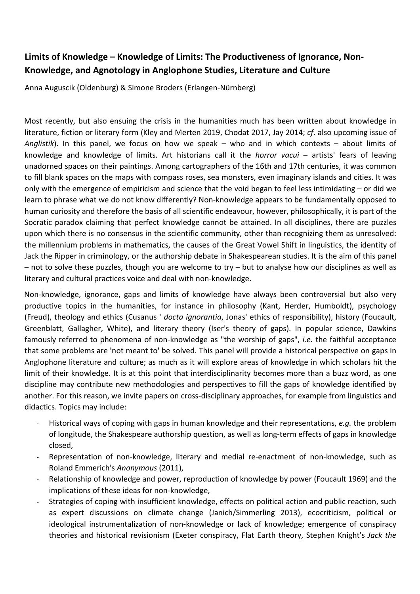## **Limits of Knowledge – Knowledge of Limits: The Productiveness of Ignorance, Non-Knowledge, and Agnotology in Anglophone Studies, Literature and Culture**

Anna Auguscik (Oldenburg) & Simone Broders (Erlangen-Nürnberg)

Most recently, but also ensuing the crisis in the humanities much has been written about knowledge in literature, fiction or literary form (Kley and Merten 2019, Chodat 2017, Jay 2014; *cf*. also upcoming issue of *Anglistik*). In this panel, we focus on how we speak – who and in which contexts – about limits of knowledge and knowledge of limits. Art historians call it the *horror vacui* – artists' fears of leaving unadorned spaces on their paintings. Among cartographers of the 16th and 17th centuries, it was common to fill blank spaces on the maps with compass roses, sea monsters, even imaginary islands and cities. It was only with the emergence of empiricism and science that the void began to feel less intimidating – or did we learn to phrase what we do not know differently? Non-knowledge appears to be fundamentally opposed to human curiosity and therefore the basis of all scientific endeavour, however, philosophically, it is part of the Socratic paradox claiming that perfect knowledge cannot be attained. In all disciplines, there are puzzles upon which there is no consensus in the scientific community, other than recognizing them as unresolved: the millennium problems in mathematics, the causes of the Great Vowel Shift in linguistics, the identity of Jack the Ripper in criminology, or the authorship debate in Shakespearean studies. It is the aim of this panel – not to solve these puzzles, though you are welcome to try – but to analyse how our disciplines as well as literary and cultural practices voice and deal with non-knowledge.

Non-knowledge, ignorance, gaps and limits of knowledge have always been controversial but also very productive topics in the humanities, for instance in philosophy (Kant, Herder, Humboldt), psychology (Freud), theology and ethics (Cusanus ' *docta ignorantia*, Jonas' ethics of responsibility), history (Foucault, Greenblatt, Gallagher, White), and literary theory (Iser's theory of gaps). In popular science, Dawkins famously referred to phenomena of non-knowledge as "the worship of gaps", *i.e.* the faithful acceptance that some problems are 'not meant to' be solved. This panel will provide a historical perspective on gaps in Anglophone literature and culture; as much as it will explore areas of knowledge in which scholars hit the limit of their knowledge. It is at this point that interdisciplinarity becomes more than a buzz word, as one discipline may contribute new methodologies and perspectives to fill the gaps of knowledge identified by another. For this reason, we invite papers on cross-disciplinary approaches, for example from linguistics and didactics. Topics may include:

- Historical ways of coping with gaps in human knowledge and their representations, *e.g.* the problem of longitude, the Shakespeare authorship question, as well as long-term effects of gaps in knowledge closed,
- Representation of non-knowledge, literary and medial re-enactment of non-knowledge, such as Roland Emmerich's *Anonymous* (2011),
- Relationship of knowledge and power, reproduction of knowledge by power (Foucault 1969) and the implications of these ideas for non-knowledge,
- Strategies of coping with insufficient knowledge, effects on political action and public reaction, such as expert discussions on climate change (Janich/Simmerling 2013), ecocriticism, political or ideological instrumentalization of non-knowledge or lack of knowledge; emergence of conspiracy theories and historical revisionism (Exeter conspiracy, Flat Earth theory, Stephen Knight's *Jack the*